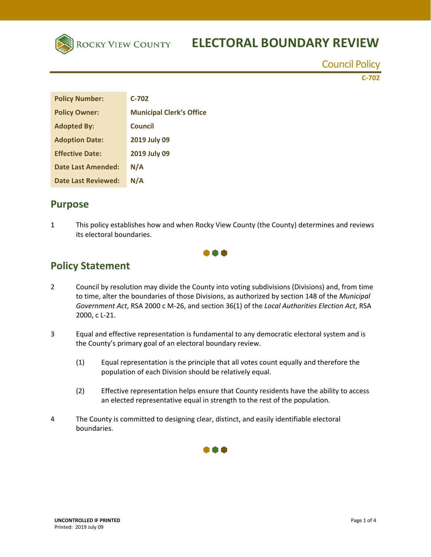

# **ROCKY VIEW COUNTY ELECTORAL BOUNDARY REVIEW**

Council Policy

**C‐702** 

| <b>Policy Number:</b>      | $C-702$                         |
|----------------------------|---------------------------------|
| <b>Policy Owner:</b>       | <b>Municipal Clerk's Office</b> |
| <b>Adopted By:</b>         | Council                         |
| <b>Adoption Date:</b>      | 2019 July 09                    |
| <b>Effective Date:</b>     | 2019 July 09                    |
| <b>Date Last Amended:</b>  | N/A                             |
| <b>Date Last Reviewed:</b> | N/A                             |

## **Purpose**

1 This policy establishes how and when Rocky View County (the County) determines and reviews its electoral boundaries.



## **Policy Statement**

- 2 Council by resolution may divide the County into voting subdivisions (Divisions) and, from time to time, alter the boundaries of those Divisions, as authorized by section 148 of the *Municipal Government Act*, RSA 2000 c M‐26, and section 36(1) of the *Local Authorities Election Act*, RSA 2000, c L‐21.
- 3 Equal and effective representation is fundamental to any democratic electoral system and is the County's primary goal of an electoral boundary review.
	- (1) Equal representation is the principle that all votes count equally and therefore the population of each Division should be relatively equal.
	- (2) Effective representation helps ensure that County residents have the ability to access an elected representative equal in strength to the rest of the population.
- 4 The County is committed to designing clear, distinct, and easily identifiable electoral boundaries.

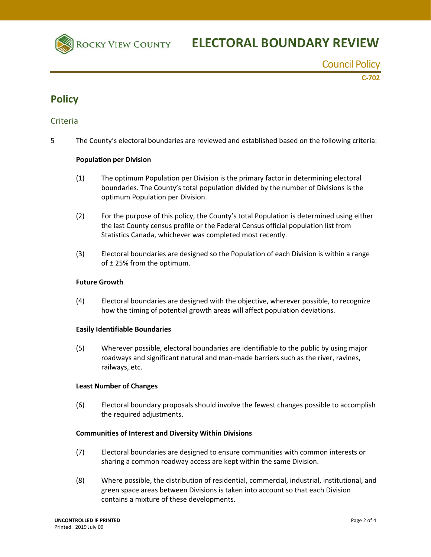

Council Policy

**C‐702** 

## **Policy**

#### Criteria

5 The County's electoral boundaries are reviewed and established based on the following criteria:

#### **Population per Division**

- (1) The optimum Population per Division is the primary factor in determining electoral boundaries. The County's total population divided by the number of Divisions is the optimum Population per Division.
- (2) For the purpose of this policy, the County's total Population is determined using either the last County census profile or the Federal Census official population list from Statistics Canada, whichever was completed most recently.
- (3) Electoral boundaries are designed so the Population of each Division is within a range of ± 25% from the optimum.

#### **Future Growth**

(4) Electoral boundaries are designed with the objective, wherever possible, to recognize how the timing of potential growth areas will affect population deviations.

#### **Easily Identifiable Boundaries**

(5) Wherever possible, electoral boundaries are identifiable to the public by using major roadways and significant natural and man‐made barriers such as the river, ravines, railways, etc.

#### **Least Number of Changes**

(6) Electoral boundary proposals should involve the fewest changes possible to accomplish the required adjustments.

#### **Communities of Interest and Diversity Within Divisions**

- (7) Electoral boundaries are designed to ensure communities with common interests or sharing a common roadway access are kept within the same Division.
- (8) Where possible, the distribution of residential, commercial, industrial, institutional, and green space areas between Divisions is taken into account so that each Division contains a mixture of these developments.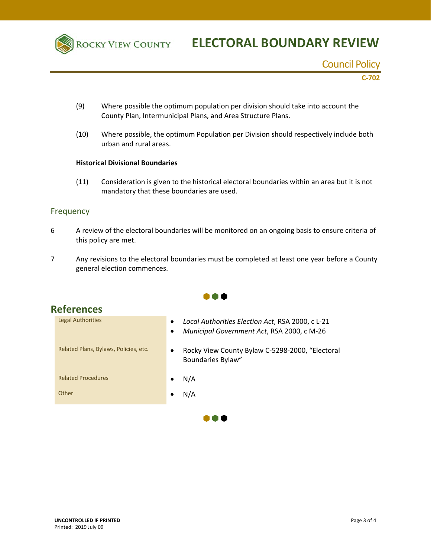

## **ROCKY VIEW COUNTY ELECTORAL BOUNDARY REVIEW**

Council Policy

**C‐702** 

- (9) Where possible the optimum population per division should take into account the County Plan, Intermunicipal Plans, and Area Structure Plans.
- (10) Where possible, the optimum Population per Division should respectively include both urban and rural areas.

#### **Historical Divisional Boundaries**

(11) Consideration is given to the historical electoral boundaries within an area but it is not mandatory that these boundaries are used.

#### Frequency

- 6 A review of the electoral boundaries will be monitored on an ongoing basis to ensure criteria of this policy are met.
- 7 Any revisions to the electoral boundaries must be completed at least one year before a County general election commences.

A A A

 $\bullet \bullet \bullet$ 

| <b>cererences</b>                     |                                                                                                                          |
|---------------------------------------|--------------------------------------------------------------------------------------------------------------------------|
| <b>Legal Authorities</b>              | Local Authorities Election Act, RSA 2000, c L-21<br>$\bullet$<br>Municipal Government Act, RSA 2000, c M-26<br>$\bullet$ |
| Related Plans, Bylaws, Policies, etc. | Rocky View County Bylaw C-5298-2000, "Electoral<br>$\bullet$<br><b>Boundaries Bylaw"</b>                                 |
| <b>Related Procedures</b>             | N/A                                                                                                                      |
| Other                                 | N/A                                                                                                                      |
|                                       |                                                                                                                          |

## **References**